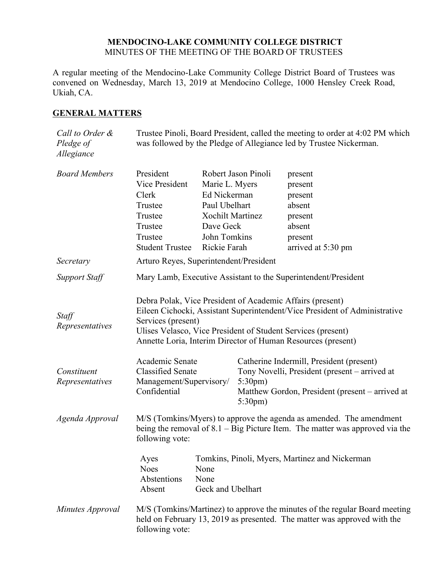#### **MENDOCINO-LAKE COMMUNITY COLLEGE DISTRICT** MINUTES OF THE MEETING OF THE BOARD OF TRUSTEES

A regular meeting of the Mendocino-Lake Community College District Board of Trustees was convened on Wednesday, March 13, 2019 at Mendocino College, 1000 Hensley Creek Road, Ukiah, CA.

### **GENERAL MATTERS**

| Call to Order &<br>Pledge of<br>Allegiance |                                                                                                                                                                          |                                                                                                                         |                                        | Trustee Pinoli, Board President, called the meeting to order at 4:02 PM which<br>was followed by the Pledge of Allegiance led by Trustee Nickerman.                                                                                                                     |
|--------------------------------------------|--------------------------------------------------------------------------------------------------------------------------------------------------------------------------|-------------------------------------------------------------------------------------------------------------------------|----------------------------------------|-------------------------------------------------------------------------------------------------------------------------------------------------------------------------------------------------------------------------------------------------------------------------|
| <b>Board Members</b>                       | President<br>Vice President<br>Clerk<br>Trustee<br>Trustee<br>Trustee<br>Trustee<br><b>Student Trustee</b>                                                               | Marie L. Myers<br>Ed Nickerman<br>Paul Ubelhart<br><b>Xochilt Martinez</b><br>Dave Geck<br>John Tomkins<br>Rickie Farah | Robert Jason Pinoli                    | present<br>present<br>present<br>absent<br>present<br>absent<br>present<br>arrived at 5:30 pm                                                                                                                                                                           |
| Secretary                                  | Arturo Reyes, Superintendent/President                                                                                                                                   |                                                                                                                         |                                        |                                                                                                                                                                                                                                                                         |
| <b>Support Staff</b>                       | Mary Lamb, Executive Assistant to the Superintendent/President                                                                                                           |                                                                                                                         |                                        |                                                                                                                                                                                                                                                                         |
| Staff<br>Representatives                   | Services (present)                                                                                                                                                       |                                                                                                                         |                                        | Debra Polak, Vice President of Academic Affairs (present)<br>Eileen Cichocki, Assistant Superintendent/Vice President of Administrative<br>Ulises Velasco, Vice President of Student Services (present)<br>Annette Loria, Interim Director of Human Resources (present) |
| Constituent<br>Representatives             | Academic Senate<br><b>Classified Senate</b><br>Management/Supervisory/<br>Confidential                                                                                   |                                                                                                                         | $5:30 \text{pm}$ )<br>$5:30 \text{pm}$ | Catherine Indermill, President (present)<br>Tony Novelli, President (present – arrived at<br>Matthew Gordon, President (present – arrived at                                                                                                                            |
| Agenda Approval                            | M/S (Tomkins/Myers) to approve the agenda as amended. The amendment<br>being the removal of $8.1 - Big$ Picture Item. The matter was approved via the<br>following vote: |                                                                                                                         |                                        |                                                                                                                                                                                                                                                                         |
|                                            | Ayes<br><b>Noes</b><br>Abstentions<br>Absent                                                                                                                             | None<br>None<br>Geck and Ubelhart                                                                                       |                                        | Tomkins, Pinoli, Myers, Martinez and Nickerman                                                                                                                                                                                                                          |
| Minutes Approval                           | following vote:                                                                                                                                                          |                                                                                                                         |                                        | M/S (Tomkins/Martinez) to approve the minutes of the regular Board meeting<br>held on February 13, 2019 as presented. The matter was approved with the                                                                                                                  |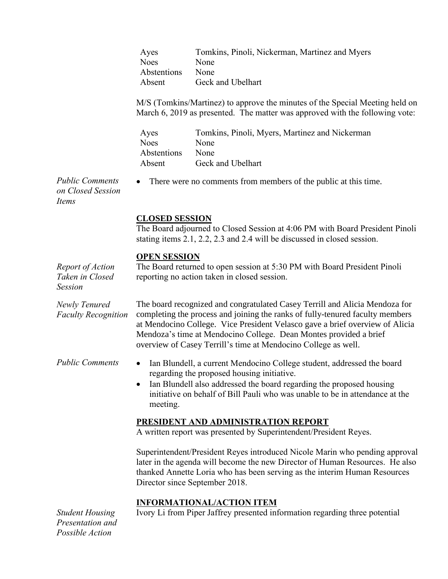| Tomkins, Pinoli, Nickerman, Martinez and Myers |
|------------------------------------------------|
| None                                           |
| None                                           |
| Geck and Ubelhart                              |
|                                                |

M/S (Tomkins/Martinez) to approve the minutes of the Special Meeting held on March 6, 2019 as presented. The matter was approved with the following vote:

| Ayes               | Tomkins, Pinoli, Myers, Martinez and Nickerman |
|--------------------|------------------------------------------------|
| <b>Noes</b>        | None                                           |
| <i>Abstentions</i> | None                                           |
| Absent             | Geck and Ubelhart                              |

There were no comments from members of the public at this time.

*Public Comments on Closed Session Items*

## **CLOSED SESSION**

The Board adjourned to Closed Session at 4:06 PM with Board President Pinoli stating items 2.1, 2.2, 2.3 and 2.4 will be discussed in closed session.

### **OPEN SESSION**

| Report of Action<br>Taken in Closed<br><b>Session</b> | The Board returned to open session at 5:30 PM with Board President Pinoli<br>reporting no action taken in closed session.                                                                                                                                                                                                                                                           |
|-------------------------------------------------------|-------------------------------------------------------------------------------------------------------------------------------------------------------------------------------------------------------------------------------------------------------------------------------------------------------------------------------------------------------------------------------------|
| Newly Tenured<br><b>Faculty Recognition</b>           | The board recognized and congratulated Casey Terrill and Alicia Mendoza for<br>completing the process and joining the ranks of fully-tenured faculty members<br>at Mendocino College. Vice President Velasco gave a brief overview of Alicia<br>Mendoza's time at Mendocino College. Dean Montes provided a brief<br>overview of Casey Terrill's time at Mendocino College as well. |
| <b>Public Comments</b>                                | Ian Blundell, a current Mendocino College student, addressed the board<br>regarding the proposed housing initiative.<br>Ian Blundell also addressed the board regarding the proposed housing<br>initiative on behalf of Bill Pauli who was unable to be in attendance at the<br>meeting.                                                                                            |
|                                                       | PRESIDENT AND ADMINISTRATION REPORT<br>A written report was presented by Superintendent/President Reyes.                                                                                                                                                                                                                                                                            |
|                                                       | Superintendent/President Reyes introduced Nicole Marin who pending approval<br>later in the agenda will become the new Director of Human Resources. He also<br>thanked Annette Loria who has been serving as the interim Human Resources<br>Director since September 2018.                                                                                                          |
| <b>Student Housing</b>                                | <b>INFORMATIONAL/ACTION ITEM</b><br>Ivory Li from Piper Jaffrey presented information regarding three potential                                                                                                                                                                                                                                                                     |

*Presentation and Possible Action*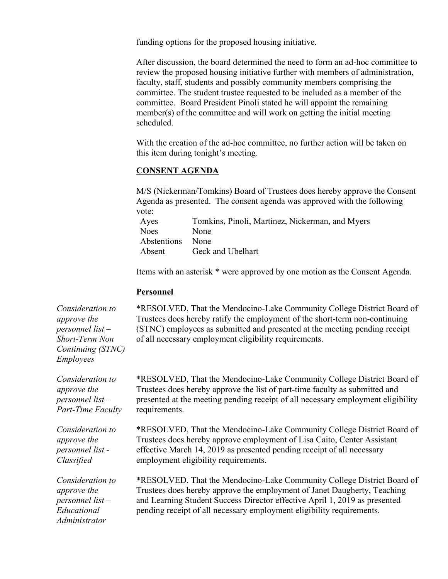funding options for the proposed housing initiative.

After discussion, the board determined the need to form an ad-hoc committee to review the proposed housing initiative further with members of administration, faculty, staff, students and possibly community members comprising the committee. The student trustee requested to be included as a member of the committee. Board President Pinoli stated he will appoint the remaining member(s) of the committee and will work on getting the initial meeting scheduled.

With the creation of the ad-hoc committee, no further action will be taken on this item during tonight's meeting.

#### **CONSENT AGENDA**

M/S (Nickerman/Tomkins) Board of Trustees does hereby approve the Consent Agenda as presented. The consent agenda was approved with the following vote:

| Ayes             | Tomkins, Pinoli, Martinez, Nickerman, and Myers |
|------------------|-------------------------------------------------|
| <b>Noes</b>      | None                                            |
| Abstentions None |                                                 |
| Absent           | Geck and Ubelhart                               |

Items with an asterisk \* were approved by one motion as the Consent Agenda.

#### **Personnel**

*Consideration to approve the personnel list – Short-Term Non Continuing (STNC) Employees*

\*RESOLVED, That the Mendocino-Lake Community College District Board of Trustees does hereby ratify the employment of the short-term non-continuing (STNC) employees as submitted and presented at the meeting pending receipt of all necessary employment eligibility requirements.

*Consideration to approve the personnel list – Part-Time Faculty*

\*RESOLVED, That the Mendocino-Lake Community College District Board of Trustees does hereby approve the list of part-time faculty as submitted and presented at the meeting pending receipt of all necessary employment eligibility requirements.

*Consideration to approve the personnel list - Classified*

*Consideration to approve the personnel list – Educational Administrator*

\*RESOLVED, That the Mendocino-Lake Community College District Board of Trustees does hereby approve employment of Lisa Caito, Center Assistant effective March 14, 2019 as presented pending receipt of all necessary employment eligibility requirements.

\*RESOLVED, That the Mendocino-Lake Community College District Board of Trustees does hereby approve the employment of Janet Daugherty, Teaching and Learning Student Success Director effective April 1, 2019 as presented pending receipt of all necessary employment eligibility requirements.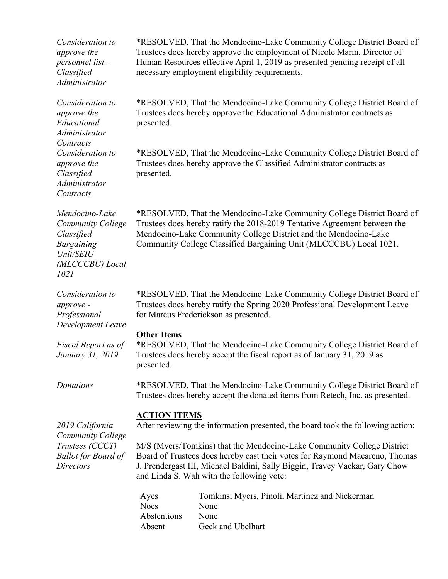| Consideration to<br>approve the<br>personnel list-<br>Classified<br>Administrator                                     |                                                                                                                                                                                                                                                                                               | *RESOLVED, That the Mendocino-Lake Community College District Board of<br>Trustees does hereby approve the employment of Nicole Marin, Director of<br>Human Resources effective April 1, 2019 as presented pending receipt of all<br>necessary employment eligibility requirements. |  |
|-----------------------------------------------------------------------------------------------------------------------|-----------------------------------------------------------------------------------------------------------------------------------------------------------------------------------------------------------------------------------------------------------------------------------------------|-------------------------------------------------------------------------------------------------------------------------------------------------------------------------------------------------------------------------------------------------------------------------------------|--|
| Consideration to<br>approve the<br>Educational<br>Administrator<br>Contracts                                          | presented.                                                                                                                                                                                                                                                                                    | *RESOLVED, That the Mendocino-Lake Community College District Board of<br>Trustees does hereby approve the Educational Administrator contracts as                                                                                                                                   |  |
| Consideration to<br>approve the<br>Classified<br>Administrator<br>Contracts                                           | presented.                                                                                                                                                                                                                                                                                    | *RESOLVED, That the Mendocino-Lake Community College District Board of<br>Trustees does hereby approve the Classified Administrator contracts as                                                                                                                                    |  |
| Mendocino-Lake<br><b>Community College</b><br>Classified<br><b>Bargaining</b><br>Unit/SEIU<br>(MLCCCBU) Local<br>1021 | *RESOLVED, That the Mendocino-Lake Community College District Board of<br>Trustees does hereby ratify the 2018-2019 Tentative Agreement between the<br>Mendocino-Lake Community College District and the Mendocino-Lake<br>Community College Classified Bargaining Unit (MLCCCBU) Local 1021. |                                                                                                                                                                                                                                                                                     |  |
| Consideration to<br>approve -<br>Professional<br>Development Leave                                                    |                                                                                                                                                                                                                                                                                               | *RESOLVED, That the Mendocino-Lake Community College District Board of<br>Trustees does hereby ratify the Spring 2020 Professional Development Leave<br>for Marcus Frederickson as presented.                                                                                       |  |
| Fiscal Report as of<br>January 31, 2019                                                                               | <b>Other Items</b><br>*RESOLVED, That the Mendocino-Lake Community College District Board of<br>Trustees does hereby accept the fiscal report as of January 31, 2019 as<br>presented.                                                                                                         |                                                                                                                                                                                                                                                                                     |  |
| Donations                                                                                                             | *RESOLVED, That the Mendocino-Lake Community College District Board of<br>Trustees does hereby accept the donated items from Retech, Inc. as presented.                                                                                                                                       |                                                                                                                                                                                                                                                                                     |  |
| 2019 California<br><b>Community College</b><br>Trustees (CCCT)<br><b>Ballot for Board of</b><br><b>Directors</b>      | <b>ACTION ITEMS</b><br>After reviewing the information presented, the board took the following action:                                                                                                                                                                                        |                                                                                                                                                                                                                                                                                     |  |
|                                                                                                                       | M/S (Myers/Tomkins) that the Mendocino-Lake Community College District<br>Board of Trustees does hereby cast their votes for Raymond Macareno, Thomas<br>J. Prendergast III, Michael Baldini, Sally Biggin, Travey Vackar, Gary Chow<br>and Linda S. Wah with the following vote:             |                                                                                                                                                                                                                                                                                     |  |
|                                                                                                                       | Ayes<br><b>Noes</b><br>Abstentions<br>Absent                                                                                                                                                                                                                                                  | Tomkins, Myers, Pinoli, Martinez and Nickerman<br>None<br>None<br>Geck and Ubelhart                                                                                                                                                                                                 |  |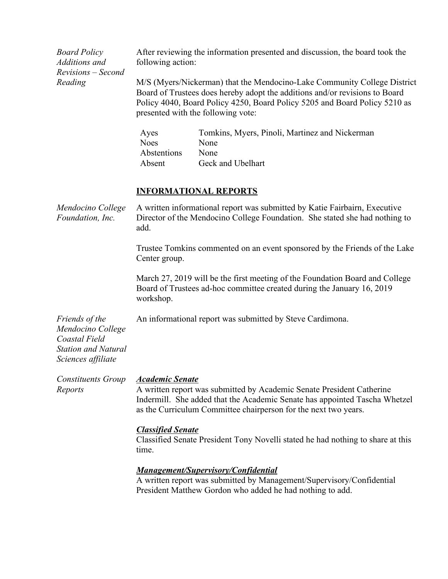| <b>Board Policy</b><br>Additions and<br>Revisions - Second<br>Reading                                    | After reviewing the information presented and discussion, the board took the<br>following action:<br>M/S (Myers/Nickerman) that the Mendocino-Lake Community College District<br>Board of Trustees does hereby adopt the additions and/or revisions to Board<br>Policy 4040, Board Policy 4250, Board Policy 5205 and Board Policy 5210 as<br>presented with the following vote: |                                                                                                                                    |  |
|----------------------------------------------------------------------------------------------------------|----------------------------------------------------------------------------------------------------------------------------------------------------------------------------------------------------------------------------------------------------------------------------------------------------------------------------------------------------------------------------------|------------------------------------------------------------------------------------------------------------------------------------|--|
|                                                                                                          | Ayes<br><b>Noes</b><br>Abstentions<br>Absent                                                                                                                                                                                                                                                                                                                                     | Tomkins, Myers, Pinoli, Martinez and Nickerman<br>None<br>None<br>Geck and Ubelhart                                                |  |
|                                                                                                          |                                                                                                                                                                                                                                                                                                                                                                                  | <b>INFORMATIONAL REPORTS</b>                                                                                                       |  |
| Mendocino College<br>Foundation, Inc.                                                                    | A written informational report was submitted by Katie Fairbairn, Executive<br>Director of the Mendocino College Foundation. She stated she had nothing to<br>add.                                                                                                                                                                                                                |                                                                                                                                    |  |
|                                                                                                          | Trustee Tomkins commented on an event sponsored by the Friends of the Lake<br>Center group.                                                                                                                                                                                                                                                                                      |                                                                                                                                    |  |
|                                                                                                          | March 27, 2019 will be the first meeting of the Foundation Board and College<br>Board of Trustees ad-hoc committee created during the January 16, 2019<br>workshop.                                                                                                                                                                                                              |                                                                                                                                    |  |
| Friends of the<br>Mendocino College<br>Coastal Field<br><b>Station and Natural</b><br>Sciences affiliate |                                                                                                                                                                                                                                                                                                                                                                                  | An informational report was submitted by Steve Cardimona.                                                                          |  |
| <b>Constituents Group</b><br>Reports                                                                     | <b>Academic Senate</b><br>A written report was submitted by Academic Senate President Catherine<br>Indermill. She added that the Academic Senate has appointed Tascha Whetzel<br>as the Curriculum Committee chairperson for the next two years.                                                                                                                                 |                                                                                                                                    |  |
|                                                                                                          | <b>Classified Senate</b><br>Classified Senate President Tony Novelli stated he had nothing to share at this<br>time.                                                                                                                                                                                                                                                             |                                                                                                                                    |  |
|                                                                                                          | <b>Management/Supervisory/Confidential</b>                                                                                                                                                                                                                                                                                                                                       |                                                                                                                                    |  |
|                                                                                                          |                                                                                                                                                                                                                                                                                                                                                                                  | A written report was submitted by Management/Supervisory/Confidential<br>President Matthew Gordon who added he had nothing to add. |  |